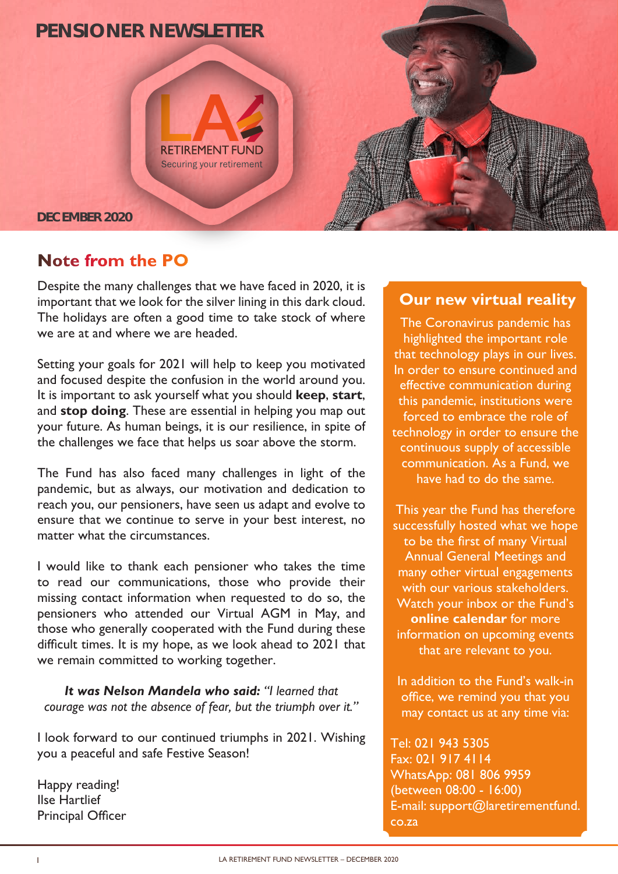

## **Note from the PO**

Despite the many challenges that we have faced in 2020, it is important that we look for the silver lining in this dark cloud. The holidays are often a good time to take stock of where we are at and where we are headed.

Setting your goals for 2021 will help to keep you motivated and focused despite the confusion in the world around you. It is important to ask yourself what you should **keep**, **start**, and **stop doing**. These are essential in helping you map out your future. As human beings, it is our resilience, in spite of the challenges we face that helps us soar above the storm.

The Fund has also faced many challenges in light of the pandemic, but as always, our motivation and dedication to reach you, our pensioners, have seen us adapt and evolve to ensure that we continue to serve in your best interest, no matter what the circumstances.

I would like to thank each pensioner who takes the time to read our communications, those who provide their missing contact information when requested to do so, the pensioners who attended our Virtual AGM in May, and those who generally cooperated with the Fund during these difficult times. It is my hope, as we look ahead to 2021 that we remain committed to working together.

*It was Nelson Mandela who said: "I learned that courage was not the absence of fear, but the triumph over it."*

I look forward to our continued triumphs in 2021. Wishing you a peaceful and safe Festive Season!

Happy reading! Ilse Hartlief Principal Officer

### **Our new virtual reality**

The Coronavirus pandemic has highlighted the important role that technology plays in our lives. In order to ensure continued and effective communication during this pandemic, institutions were forced to embrace the role of technology in order to ensure the continuous supply of accessible communication. As a Fund, we have had to do the same.

This year the Fund has therefore successfully hosted what we hope to be the first of many Virtual Annual General Meetings and many other virtual engagements with our various stakeholders. Watch your inbox or the Fund's **online calendar** for more information on upcoming events that are relevant to you.

In addition to the Fund's walk-in office, we remind you that you may contact us at any time via:

Tel: 021 943 5305 Fax: 021 917 4114 WhatsApp: 081 806 9959 (between 08:00 - 16:00) E-mail: support@laretirementfund. co.za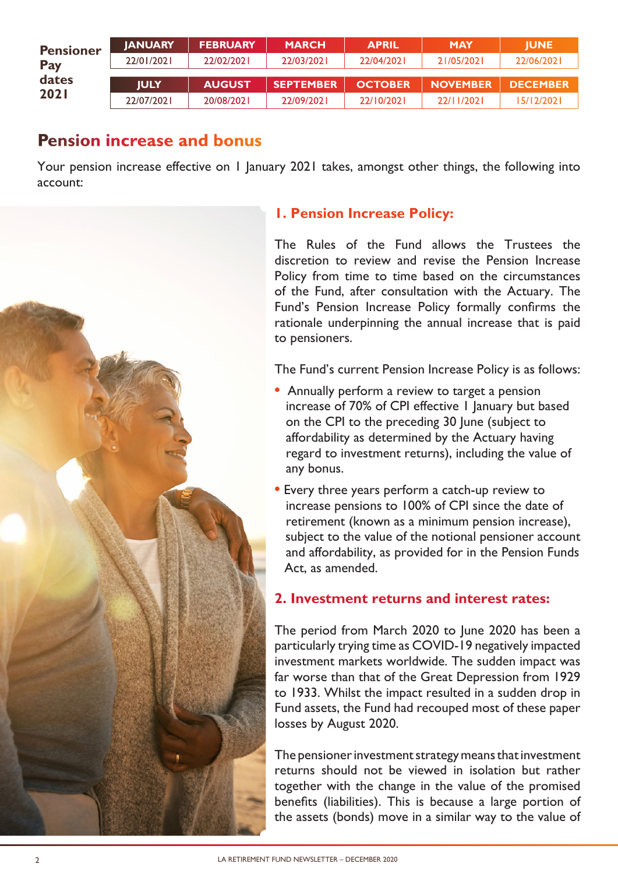| <b>Pensioner</b> | <b>IANUARY</b> | <b>FEBRUARY</b> | <b>MARCH</b>     | <b>APRIL</b>   | <b>MAY</b>      | <b>IUNE</b>     |
|------------------|----------------|-----------------|------------------|----------------|-----------------|-----------------|
| Pay              | 22/01/2021     | 22/02/2021      | 22/03/2021       | 22/04/2021     | 21/05/2021      | 22/06/2021      |
| dates            | <b>IULY</b>    | <b>AUGUST</b>   | <b>SEPTEMBER</b> | <b>OCTOBER</b> | <b>NOVEMBER</b> | <b>DECEMBER</b> |
| 2021             | 22/07/2021     | 20/08/2021      | 22/09/2021       | 22/10/2021     | 22/11/2021      | 15/12/2021      |

## **Pension increase and bonus**

Your pension increase effective on 1 January 2021 takes, amongst other things, the following into account:



#### **1. Pension Increase Policy:**

The Rules of the Fund allows the Trustees the discretion to review and revise the Pension Increase Policy from time to time based on the circumstances of the Fund, after consultation with the Actuary. The Fund's Pension Increase Policy formally confirms the rationale underpinning the annual increase that is paid to pensioners.

The Fund's current Pension Increase Policy is as follows:

- **•** Annually perform a review to target a pension increase of 70% of CPI effective 1 January but based on the CPI to the preceding 30 June (subject to affordability as determined by the Actuary having regard to investment returns), including the value of any bonus.
- **•** Every three years perform a catch-up review to increase pensions to 100% of CPI since the date of retirement (known as a minimum pension increase), subject to the value of the notional pensioner account and affordability, as provided for in the Pension Funds Act, as amended.

#### **2. Investment returns and interest rates:**

The period from March 2020 to June 2020 has been a particularly trying time as COVID-19 negatively impacted investment markets worldwide. The sudden impact was far worse than that of the Great Depression from 1929 to 1933. Whilst the impact resulted in a sudden drop in Fund assets, the Fund had recouped most of these paper losses by August 2020.

The pensioner investment strategy means that investment returns should not be viewed in isolation but rather together with the change in the value of the promised benefits (liabilities). This is because a large portion of the assets (bonds) move in a similar way to the value of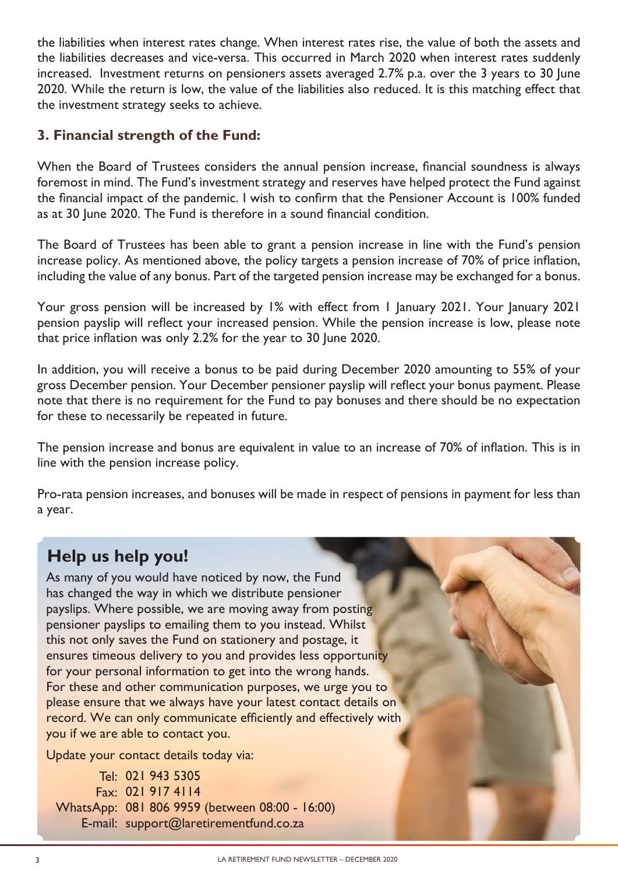the liabilities when interest rates change. When interest rates rise, the value of both the assets and the liabilities decreases and vice-versa. This occurred in March 2020 when interest rates suddenly increased. Investment returns on pensioners assets averaged 2.7% p.a. over the 3 years to 30 June 2020. While the return is low, the value of the liabilities also reduced. It is this matching effect that the investment strategy seeks to achieve.

#### **3. Financial strength of the Fund:**

When the Board of Trustees considers the annual pension increase, financial soundness is always foremost in mind. The Fund's investment strategy and reserves have helped protect the Fund against the financial impact of the pandemic. I wish to confirm that the Pensioner Account is 100% funded as at 30 June 2020. The Fund is therefore in a sound financial condition.

The Board of Trustees has been able to grant a pension increase in line with the Fund's pension increase policy. As mentioned above, the policy targets a pension increase of 70% of price inflation, including the value of any bonus. Part of the targeted pension increase may be exchanged for a bonus.

Your gross pension will be increased by 1% with effect from 1 January 2021. Your January 2021 pension payslip will reflect your increased pension. While the pension increase is low, please note that price inflation was only 2.2% for the year to 30 June 2020.

In addition, you will receive a bonus to be paid during December 2020 amounting to 55% of your gross December pension. Your December pensioner payslip will reflect your bonus payment. Please note that there is no requirement for the Fund to pay bonuses and there should be no expectation for these to necessarily be repeated in future.

The pension increase and bonus are equivalent in value to an increase of 70% of inflation. This is in line with the pension increase policy.

Pro-rata pension increases, and bonuses will be made in respect of pensions in payment for less than a year.

# **Help us help you!**

As many of you would have noticed by now, the Fund has changed the way in which we distribute pensioner payslips. Where possible, we are moving away from posting pensioner payslips to emailing them to you instead. Whilst this not only saves the Fund on stationery and postage, it ensures timeous delivery to you and provides less opportunity for your personal information to get into the wrong hands. For these and other communication purposes, we urge you to please ensure that we always have your latest contact details on record. We can only communicate efficiently and effectively with you if we are able to contact you.

Update your contact details today via:

021 943 5305 Tel: 021 917 4114 Fax: WhatsApp: 081 806 9959 (between 08:00 - 16:00) E-mail: support@laretirementfund.co.za